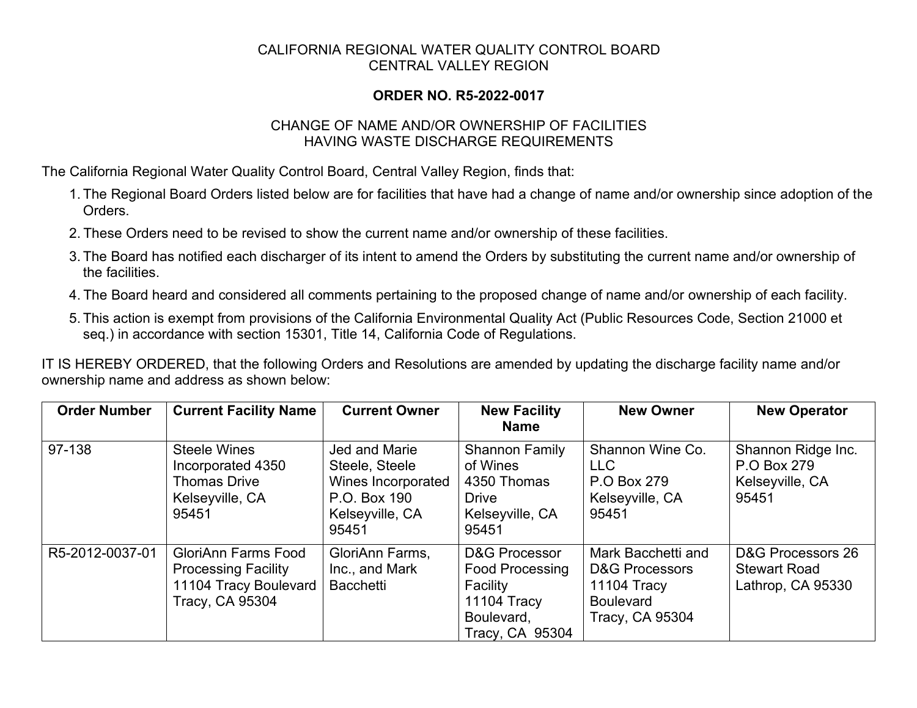## CALIFORNIA REGIONAL WATER QUALITY CONTROL BOARD CENTRAL VALLEY REGION

## **ORDER NO. R5-2022-0017**

## CHANGE OF NAME AND/OR OWNERSHIP OF FACILITIES HAVING WASTE DISCHARGE REQUIREMENTS

The California Regional Water Quality Control Board, Central Valley Region, finds that:

- 1. The Regional Board Orders listed below are for facilities that have had a change of name and/or ownership since adoption of the **Orders**
- 2. These Orders need to be revised to show the current name and/or ownership of these facilities.
- 3. The Board has notified each discharger of its intent to amend the Orders by substituting the current name and/or ownership of the facilities.
- 4. The Board heard and considered all comments pertaining to the proposed change of name and/or ownership of each facility.
- 5. This action is exempt from provisions of the California Environmental Quality Act (Public Resources Code, Section 21000 et seq.) in accordance with section 15301, Title 14, California Code of Regulations.

IT IS HEREBY ORDERED, that the following Orders and Resolutions are amended by updating the discharge facility name and/or ownership name and address as shown below:

| <b>Order Number</b> | <b>Current Facility Name</b>                                                                         | <b>Current Owner</b>                                                                                     | <b>New Facility</b><br><b>Name</b>                                                                                    | <b>New Owner</b>                                                                                             | <b>New Operator</b>                                           |
|---------------------|------------------------------------------------------------------------------------------------------|----------------------------------------------------------------------------------------------------------|-----------------------------------------------------------------------------------------------------------------------|--------------------------------------------------------------------------------------------------------------|---------------------------------------------------------------|
| 97-138              | Steele Wines<br>Incorporated 4350<br><b>Thomas Drive</b><br>Kelseyville, CA<br>95451                 | <b>Jed and Marie</b><br>Steele, Steele<br>Wines Incorporated<br>P.O. Box 190<br>Kelseyville, CA<br>95451 | <b>Shannon Family</b><br>of Wines<br>4350 Thomas<br><b>Drive</b><br>Kelseyville, CA<br>95451                          | Shannon Wine Co.<br><b>LLC</b><br>P.O Box 279<br>Kelseyville, CA<br>95451                                    | Shannon Ridge Inc.<br>P.O Box 279<br>Kelseyville, CA<br>95451 |
| R5-2012-0037-01     | <b>GloriAnn Farms Food</b><br><b>Processing Facility</b><br>11104 Tracy Boulevard<br>Tracy, CA 95304 | GloriAnn Farms,<br>Inc., and Mark<br><b>Bacchetti</b>                                                    | <b>D&amp;G Processor</b><br><b>Food Processing</b><br>Facility<br><b>11104 Tracy</b><br>Boulevard,<br>Tracy, CA 95304 | Mark Bacchetti and<br><b>D&amp;G Processors</b><br><b>11104 Tracy</b><br><b>Boulevard</b><br>Tracy, CA 95304 | D&G Processors 26<br><b>Stewart Road</b><br>Lathrop, CA 95330 |